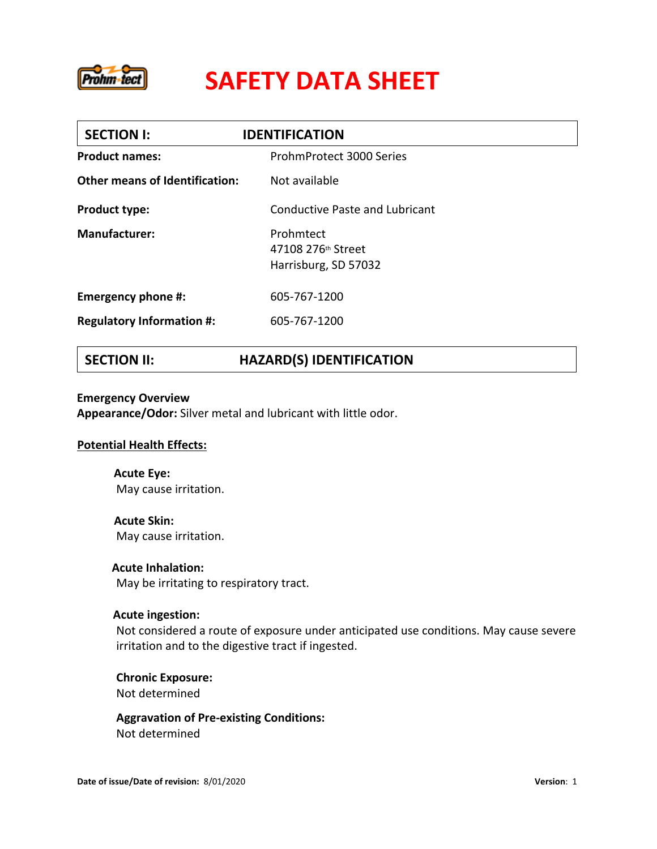

| <b>SECTION I:</b>                     | <b>IDENTIFICATION</b>                                   |  |
|---------------------------------------|---------------------------------------------------------|--|
| <b>Product names:</b>                 | ProhmProtect 3000 Series                                |  |
| <b>Other means of Identification:</b> | Not available                                           |  |
| <b>Product type:</b>                  | Conductive Paste and Lubricant                          |  |
| <b>Manufacturer:</b>                  | Prohmtect<br>47108 276th Street<br>Harrisburg, SD 57032 |  |
| Emergency phone #:                    | 605-767-1200                                            |  |
| <b>Regulatory Information #:</b>      | 605-767-1200                                            |  |

## **SECTION II: HAZARD(S) IDENTIFICATION**

#### **Emergency Overview**

**Appearance/Odor:** Silver metal and lubricant with little odor.

### **Potential Health Effects:**

**Acute Eye:**  May cause irritation.

**Acute Skin:**  May cause irritation.

**Acute Inhalation:** 

May be irritating to respiratory tract.

### **Acute ingestion:**

Not considered a route of exposure under anticipated use conditions. May cause severe irritation and to the digestive tract if ingested.

**Chronic Exposure:** Not determined

**Aggravation of Pre-existing Conditions:** Not determined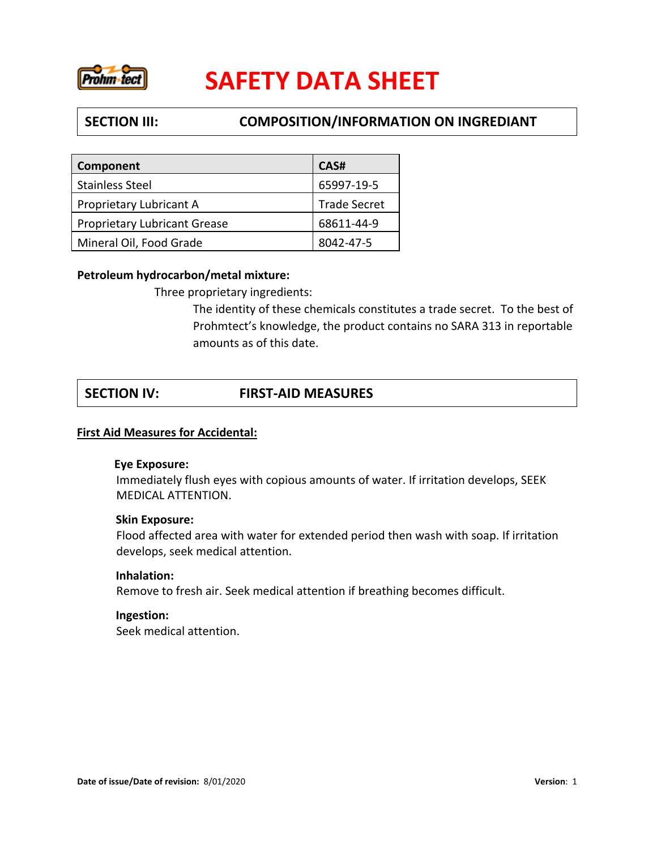

## **SECTION III: COMPOSITION/INFORMATION ON INGREDIANT**

| <b>Component</b>                    | CAS#                |
|-------------------------------------|---------------------|
| <b>Stainless Steel</b>              | 65997-19-5          |
| Proprietary Lubricant A             | <b>Trade Secret</b> |
| <b>Proprietary Lubricant Grease</b> | 68611-44-9          |
| Mineral Oil, Food Grade             | 8042-47-5           |

### **Petroleum hydrocarbon/metal mixture:**

Three proprietary ingredients:

The identity of these chemicals constitutes a trade secret. To the best of Prohmtect's knowledge, the product contains no SARA 313 in reportable amounts as of this date.

## **SECTION IV: FIRST-AID MEASURES**

### **First Aid Measures for Accidental:**

### **Eye Exposure:**

Immediately flush eyes with copious amounts of water. If irritation develops, SEEK MEDICAL ATTENTION.

### **Skin Exposure:**

Flood affected area with water for extended period then wash with soap. If irritation develops, seek medical attention.

### **Inhalation:**

Remove to fresh air. Seek medical attention if breathing becomes difficult.

### **Ingestion:**

Seek medical attention.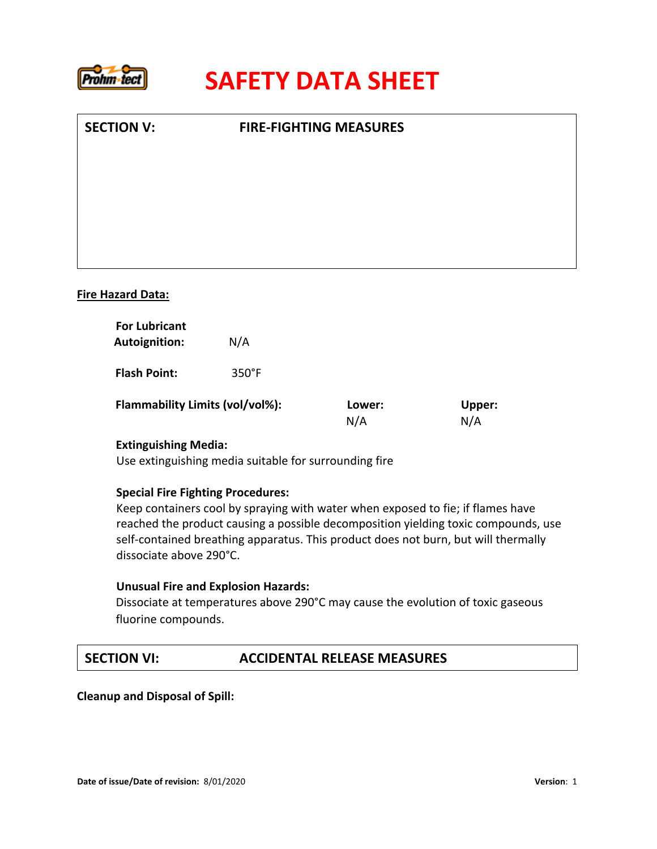

| <b>SECTION V:</b>        | <b>FIRE-FIGHTING MEASURES</b> |  |
|--------------------------|-------------------------------|--|
|                          |                               |  |
|                          |                               |  |
|                          |                               |  |
|                          |                               |  |
| <b>Fire Hazard Data:</b> |                               |  |

| <b>For Lubricant</b><br><b>Autoignition:</b> | N/A             |               |               |
|----------------------------------------------|-----------------|---------------|---------------|
| <b>Flash Point:</b>                          | $350^{\circ}$ F |               |               |
| Flammability Limits (vol/vol%):              |                 | Lower:<br>N/A | Upper:<br>N/A |

### **Extinguishing Media:**

Use extinguishing media suitable for surrounding fire

### **Special Fire Fighting Procedures:**

Keep containers cool by spraying with water when exposed to fie; if flames have reached the product causing a possible decomposition yielding toxic compounds, use self-contained breathing apparatus. This product does not burn, but will thermally dissociate above 290°C.

### **Unusual Fire and Explosion Hazards:**

Dissociate at temperatures above 290°C may cause the evolution of toxic gaseous fluorine compounds.

### **SECTION VI: ACCIDENTAL RELEASE MEASURES**

 **Cleanup and Disposal of Spill:**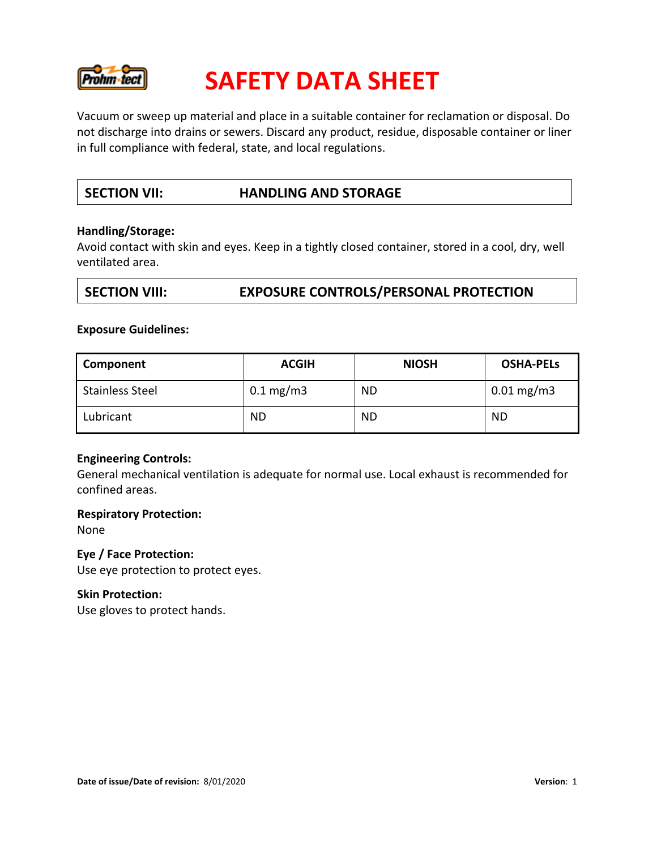

Vacuum or sweep up material and place in a suitable container for reclamation or disposal. Do not discharge into drains or sewers. Discard any product, residue, disposable container or liner in full compliance with federal, state, and local regulations.

## **SECTION VII: HANDLING AND STORAGE**

### **Handling/Storage:**

Avoid contact with skin and eyes. Keep in a tightly closed container, stored in a cool, dry, well ventilated area.

## **SECTION VIII: EXPOSURE CONTROLS/PERSONAL PROTECTION**

### **Exposure Guidelines:**

| Component              | <b>ACGIH</b>           | <b>NIOSH</b> | <b>OSHA-PELS</b>        |
|------------------------|------------------------|--------------|-------------------------|
| <b>Stainless Steel</b> | $0.1 \,\mathrm{mg/m3}$ | <b>ND</b>    | $0.01 \,\mathrm{mg/m3}$ |
| Lubricant              | ND                     | ΝD           | <b>ND</b>               |

### **Engineering Controls:**

General mechanical ventilation is adequate for normal use. Local exhaust is recommended for confined areas.

### **Respiratory Protection:**

None

### **Eye / Face Protection:**

Use eye protection to protect eyes.

### **Skin Protection:**

Use gloves to protect hands.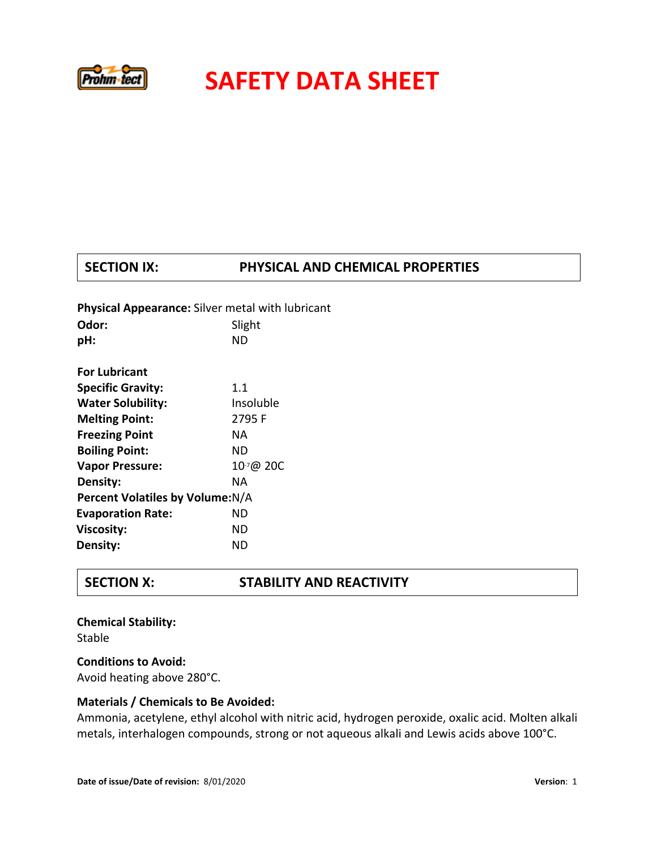

## **SECTION IX: PHYSICAL AND CHEMICAL PROPERTIES**

| <b>Physical Appearance:</b> Silver metal with lubricant |           |  |
|---------------------------------------------------------|-----------|--|
| Odor:                                                   | Slight    |  |
| pH:                                                     | ND        |  |
|                                                         |           |  |
| <b>For Lubricant</b>                                    |           |  |
| <b>Specific Gravity:</b>                                | 1.1       |  |
| <b>Water Solubility:</b>                                | Insoluble |  |
| <b>Melting Point:</b>                                   | 2795 F    |  |
| <b>Freezing Point</b>                                   | NA.       |  |
| <b>Boiling Point:</b>                                   | ND.       |  |
| <b>Vapor Pressure:</b>                                  | 10-7@ 20C |  |
| Density:                                                | NA        |  |
| Percent Volatiles by Volume: N/A                        |           |  |
| <b>Evaporation Rate:</b>                                | ND        |  |
| Viscosity:                                              | ND        |  |
| Density:                                                | ND        |  |
|                                                         |           |  |

## **SECTION X: STABILITY AND REACTIVITY**

**Chemical Stability:**  Stable **Conditions to Avoid:** 

Avoid heating above 280°C.

### **Materials / Chemicals to Be Avoided:**

Ammonia, acetylene, ethyl alcohol with nitric acid, hydrogen peroxide, oxalic acid. Molten alkali metals, interhalogen compounds, strong or not aqueous alkali and Lewis acids above 100°C.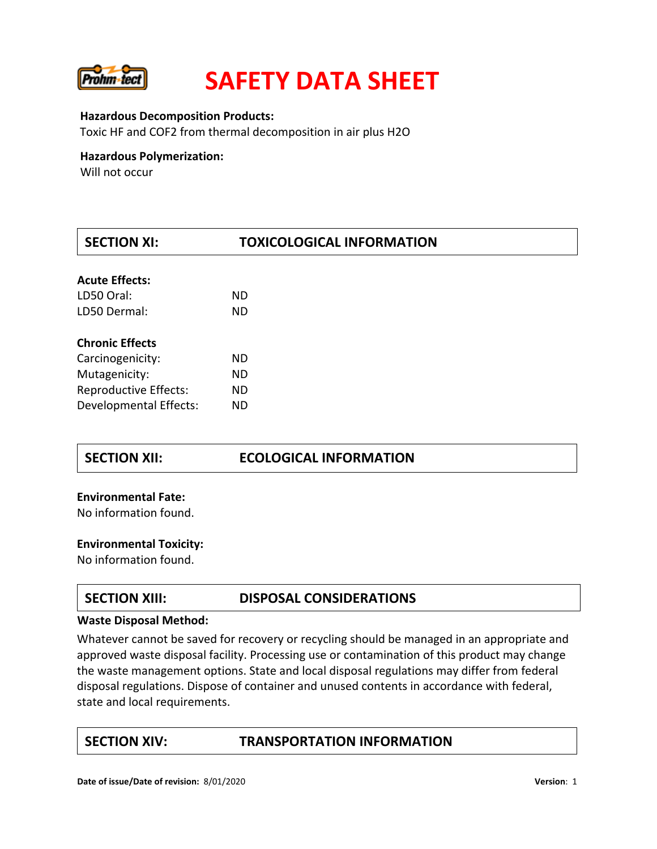

#### **Hazardous Decomposition Products:**

Toxic HF and COF2 from thermal decomposition in air plus H2O

### **Hazardous Polymerization:**

Will not occur

| <b>SECTION XI:</b>            | <b>TOXICOLOGICAL INFORMATION</b> |  |
|-------------------------------|----------------------------------|--|
| <b>Acute Effects:</b>         |                                  |  |
| LD50 Oral:                    | ND.                              |  |
| LD50 Dermal:                  | <b>ND</b>                        |  |
| <b>Chronic Effects</b>        |                                  |  |
| Carcinogenicity:              | ND.                              |  |
| Mutagenicity:                 | <b>ND</b>                        |  |
| <b>Reproductive Effects:</b>  | <b>ND</b>                        |  |
| <b>Developmental Effects:</b> | <b>ND</b>                        |  |

### **SECTION XII: ECOLOGICAL INFORMATION**

# **Environmental Fate:** No information found.

# **Environmental Toxicity:** No information found.

## **SECTION XIII: DISPOSAL CONSIDERATIONS**

#### **Waste Disposal Method:**

Whatever cannot be saved for recovery or recycling should be managed in an appropriate and approved waste disposal facility. Processing use or contamination of this product may change the waste management options. State and local disposal regulations may differ from federal disposal regulations. Dispose of container and unused contents in accordance with federal, state and local requirements.

## **SECTION XIV: TRANSPORTATION INFORMATION**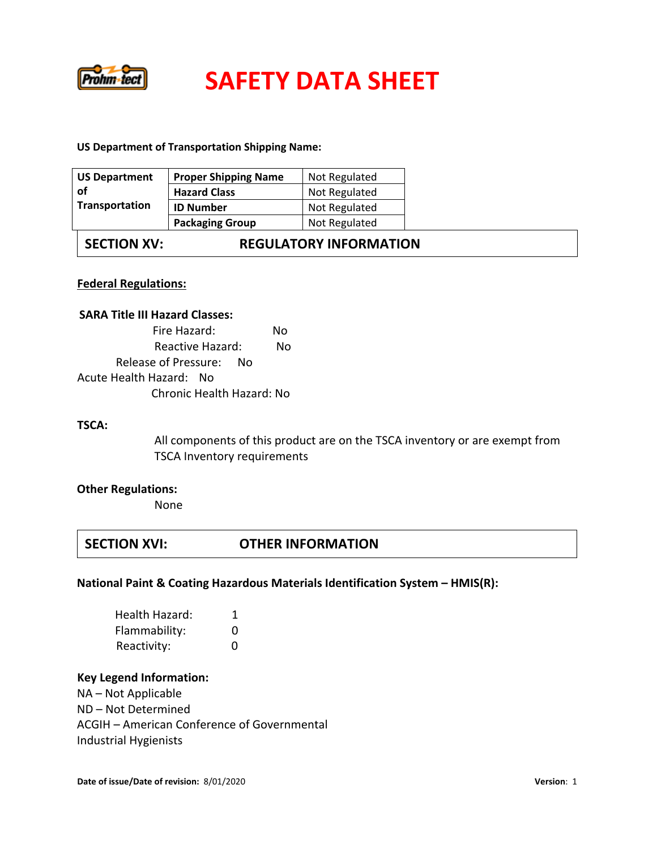

### **US Department of Transportation Shipping Name:**

| <b>US Department</b> | <b>Proper Shipping Name</b> | Not Regulated |
|----------------------|-----------------------------|---------------|
| . of                 | <b>Hazard Class</b>         | Not Regulated |
| Transportation       | <b>ID Number</b>            | Not Regulated |
|                      | <b>Packaging Group</b>      | Not Regulated |

**SECTION XV: REGULATORY INFORMATION** 

### **Federal Regulations:**

### **SARA Title III Hazard Classes:**

| Fire Hazard:              | Nο |  |
|---------------------------|----|--|
| Reactive Hazard:          | N٥ |  |
| Release of Pressure:      | N∩ |  |
| Acute Health Hazard: No   |    |  |
| Chronic Health Hazard: No |    |  |

### **TSCA:**

All components of this product are on the TSCA inventory or are exempt from TSCA Inventory requirements

# **Other Regulations:** None

## **SECTION XVI: OTHER INFORMATION**

### **National Paint & Coating Hazardous Materials Identification System – HMIS(R):**

| Health Hazard: |              |
|----------------|--------------|
| Flammability:  |              |
| Reactivity:    | $\mathbf{U}$ |

### **Key Legend Information:**

NA – Not Applicable ND – Not Determined ACGIH – American Conference of Governmental Industrial Hygienists